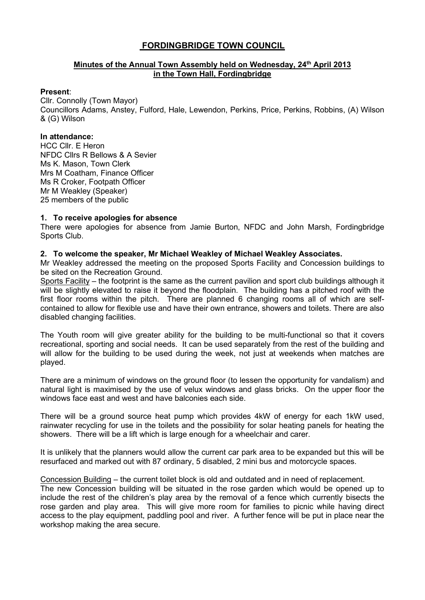### **FORDINGBRIDGE TOWN COUNCIL**

### **Minutes of the Annual Town Assembly held on Wednesday, 24<sup>th</sup> April 2013 in the Town Hall, Fordingbridge**

#### **Present**:

Cllr. Connolly (Town Mayor) Councillors Adams, Anstey, Fulford, Hale, Lewendon, Perkins, Price, Perkins, Robbins, (A) Wilson & (G) Wilson

#### **In attendance:**

HCC Cllr. E Heron NFDC Cllrs R Bellows & A Sevier Ms K. Mason, Town Clerk Mrs M Coatham, Finance Officer Ms R Croker, Footpath Officer Mr M Weakley (Speaker) 25 members of the public

#### **1. To receive apologies for absence**

There were apologies for absence from Jamie Burton, NFDC and John Marsh, Fordingbridge Sports Club.

#### **2. To welcome the speaker, Mr Michael Weakley of Michael Weakley Associates.**

Mr Weakley addressed the meeting on the proposed Sports Facility and Concession buildings to be sited on the Recreation Ground.

Sports Facility – the footprint is the same as the current pavilion and sport club buildings although it will be slightly elevated to raise it beyond the floodplain. The building has a pitched roof with the first floor rooms within the pitch. There are planned 6 changing rooms all of which are selfcontained to allow for flexible use and have their own entrance, showers and toilets. There are also disabled changing facilities.

The Youth room will give greater ability for the building to be multi-functional so that it covers recreational, sporting and social needs. It can be used separately from the rest of the building and will allow for the building to be used during the week, not just at weekends when matches are played.

There are a minimum of windows on the ground floor (to lessen the opportunity for vandalism) and natural light is maximised by the use of velux windows and glass bricks. On the upper floor the windows face east and west and have balconies each side.

There will be a ground source heat pump which provides 4kW of energy for each 1kW used, rainwater recycling for use in the toilets and the possibility for solar heating panels for heating the showers. There will be a lift which is large enough for a wheelchair and carer.

It is unlikely that the planners would allow the current car park area to be expanded but this will be resurfaced and marked out with 87 ordinary, 5 disabled, 2 mini bus and motorcycle spaces.

Concession Building – the current toilet block is old and outdated and in need of replacement.

The new Concession building will be situated in the rose garden which would be opened up to include the rest of the children's play area by the removal of a fence which currently bisects the rose garden and play area. This will give more room for families to picnic while having direct access to the play equipment, paddling pool and river. A further fence will be put in place near the workshop making the area secure.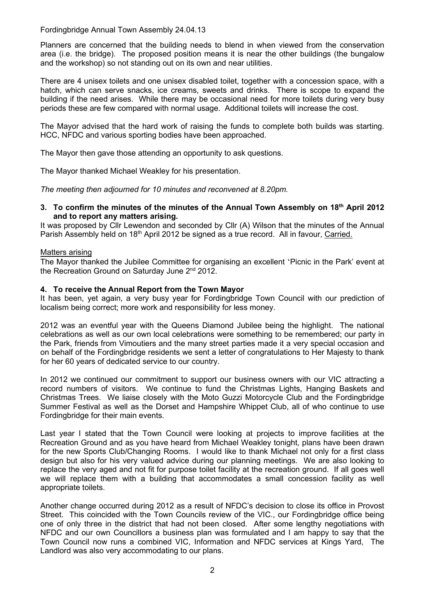Fordingbridge Annual Town Assembly 24.04.13

Planners are concerned that the building needs to blend in when viewed from the conservation area (i.e. the bridge). The proposed position means it is near the other buildings (the bungalow and the workshop) so not standing out on its own and near utilities.

There are 4 unisex toilets and one unisex disabled toilet, together with a concession space, with a hatch, which can serve snacks, ice creams, sweets and drinks. There is scope to expand the building if the need arises. While there may be occasional need for more toilets during very busy periods these are few compared with normal usage. Additional toilets will increase the cost.

The Mayor advised that the hard work of raising the funds to complete both builds was starting. HCC, NFDC and various sporting bodies have been approached.

The Mayor then gave those attending an opportunity to ask questions.

The Mayor thanked Michael Weakley for his presentation.

*The meeting then adjourned for 10 minutes and reconvened at 8.20pm.*

### **3. To confirm the minutes of the minutes of the Annual Town Assembly on 18th April 2012 and to report any matters arising.**

It was proposed by Cllr Lewendon and seconded by Cllr (A) Wilson that the minutes of the Annual Parish Assembly held on 18<sup>th</sup> April 2012 be signed as a true record. All in favour, Carried.

### Matters arising

The Mayor thanked the Jubilee Committee for organising an excellent 'Picnic in the Park' event at the Recreation Ground on Saturday June 2<sup>nd</sup> 2012.

### **4. To receive the Annual Report from the Town Mayor**

It has been, yet again, a very busy year for Fordingbridge Town Council with our prediction of localism being correct; more work and responsibility for less money.

2012 was an eventful year with the Queens Diamond Jubilee being the highlight. The national celebrations as well as our own local celebrations were something to be remembered; our party in the Park, friends from Vimoutiers and the many street parties made it a very special occasion and on behalf of the Fordingbridge residents we sent a letter of congratulations to Her Majesty to thank for her 60 years of dedicated service to our country.

In 2012 we continued our commitment to support our business owners with our VIC attracting a record numbers of visitors. We continue to fund the Christmas Lights, Hanging Baskets and Christmas Trees. We liaise closely with the Moto Guzzi Motorcycle Club and the Fordingbridge Summer Festival as well as the Dorset and Hampshire Whippet Club, all of who continue to use Fordingbridge for their main events.

Last year I stated that the Town Council were looking at projects to improve facilities at the Recreation Ground and as you have heard from Michael Weakley tonight, plans have been drawn for the new Sports Club/Changing Rooms. I would like to thank Michael not only for a first class design but also for his very valued advice during our planning meetings. We are also looking to replace the very aged and not fit for purpose toilet facility at the recreation ground. If all goes well we will replace them with a building that accommodates a small concession facility as well appropriate toilets.

Another change occurred during 2012 as a result of NFDC's decision to close its office in Provost Street. This coincided with the Town Councils review of the VIC., our Fordingbridge office being one of only three in the district that had not been closed. After some lengthy negotiations with NFDC and our own Councillors a business plan was formulated and I am happy to say that the Town Council now runs a combined VIC, Information and NFDC services at Kings Yard, The Landlord was also very accommodating to our plans.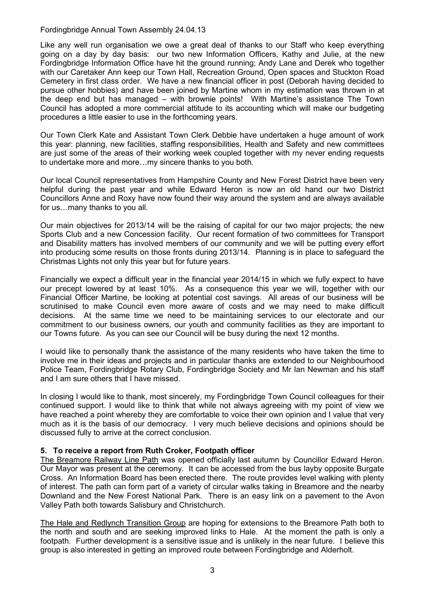### Fordingbridge Annual Town Assembly 24.04.13

Like any well run organisation we owe a great deal of thanks to our Staff who keep everything going on a day by day basis: our two new Information Officers, Kathy and Julie, at the new Fordingbridge Information Office have hit the ground running; Andy Lane and Derek who together with our Caretaker Ann keep our Town Hall, Recreation Ground, Open spaces and Stuckton Road Cemetery in first class order. We have a new financial officer in post (Deborah having decided to pursue other hobbies) and have been joined by Martine whom in my estimation was thrown in at the deep end but has managed – with brownie points! With Martine's assistance The Town Council has adopted a more commercial attitude to its accounting which will make our budgeting procedures a little easier to use in the forthcoming years.

Our Town Clerk Kate and Assistant Town Clerk Debbie have undertaken a huge amount of work this year: planning, new facilities, staffing responsibilities, Health and Safety and new committees are just some of the areas of their working week coupled together with my never ending requests to undertake more and more…my sincere thanks to you both.

Our local Council representatives from Hampshire County and New Forest District have been very helpful during the past year and while Edward Heron is now an old hand our two District Councillors Anne and Roxy have now found their way around the system and are always available for us…many thanks to you all.

Our main objectives for 2013/14 will be the raising of capital for our two major projects; the new Sports Club and a new Concession facility. Our recent formation of two committees for Transport and Disability matters has involved members of our community and we will be putting every effort into producing some results on those fronts during 2013/14. Planning is in place to safeguard the Christmas Lights not only this year but for future years.

Financially we expect a difficult year in the financial year 2014/15 in which we fully expect to have our precept lowered by at least 10%. As a consequence this year we will, together with our Financial Officer Martine, be looking at potential cost savings. All areas of our business will be scrutinised to make Council even more aware of costs and we may need to make difficult decisions. At the same time we need to be maintaining services to our electorate and our commitment to our business owners, our youth and community facilities as they are important to our Towns future. As you can see our Council will be busy during the next 12 months.

I would like to personally thank the assistance of the many residents who have taken the time to involve me in their ideas and projects and in particular thanks are extended to our Neighbourhood Police Team, Fordingbridge Rotary Club, Fordingbridge Society and Mr Ian Newman and his staff and I am sure others that I have missed.

In closing I would like to thank, most sincerely, my Fordingbridge Town Council colleagues for their continued support. I would like to think that while not always agreeing with my point of view we have reached a point whereby they are comfortable to voice their own opinion and I value that very much as it is the basis of our democracy. I very much believe decisions and opinions should be discussed fully to arrive at the correct conclusion.

# **5. To receive a report from Ruth Croker, Footpath officer**

The Breamore Railway Line Path was opened officially last autumn by Councillor Edward Heron. Our Mayor was present at the ceremony. It can be accessed from the bus layby opposite Burgate Cross. An Information Board has been erected there. The route provides level walking with plenty of interest. The path can form part of a variety of circular walks taking in Breamore and the nearby Downland and the New Forest National Park. There is an easy link on a pavement to the Avon Valley Path both towards Salisbury and Christchurch.

The Hale and Redlynch Transition Group are hoping for extensions to the Breamore Path both to the north and south and are seeking improved links to Hale. At the moment the path is only a footpath. Further development is a sensitive issue and is unlikely in the near future. I believe this group is also interested in getting an improved route between Fordingbridge and Alderholt.